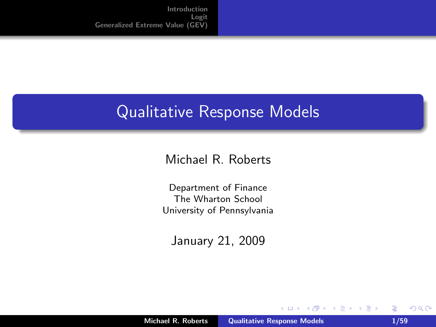#### Qualitative Response Models

#### Michael R. Roberts

Department of Finance The Wharton School University of Pennsylvania

January 21, 2009

**K ロ ▶ K 倒 ▶** 

<span id="page-0-0"></span>÷. **In**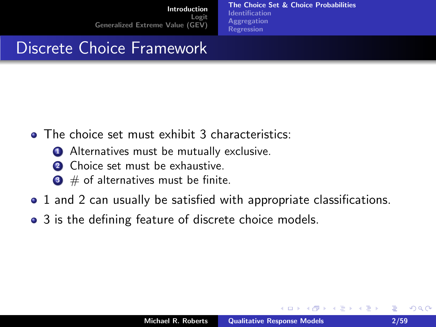[The Choice Set & Choice Probabilities](#page-1-0) [Identification](#page-5-0) **[Aggregation](#page-10-0)** [Regression](#page-12-0)

#### Discrete Choice Framework

- The choice set must exhibit 3 characteristics:
	- **1** Alternatives must be mutually exclusive.
	- **2** Choice set must be exhaustive.
	- $\bullet$  # of alternatives must be finite.
- 1 and 2 can usually be satisfied with appropriate classifications.
- 3 is the defining feature of discrete choice models.

 $\leftarrow$   $\cap$   $\rightarrow$   $\leftarrow$   $\cap$   $\rightarrow$ 

<span id="page-1-0"></span>4. E. K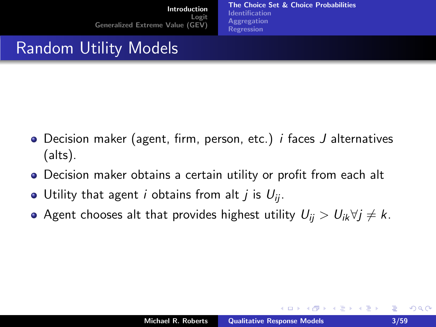[The Choice Set & Choice Probabilities](#page-1-0) [Identification](#page-5-0) **[Aggregation](#page-10-0)** [Regression](#page-12-0)

#### Random Utility Models

- Decision maker (agent, firm, person, etc.) *i* faces *J* alternatives (alts).
- Decision maker obtains a certain utility or profit from each alt
- Utility that agent *i* obtains from alt *j* is  $U_{ii}$ .
- Agent chooses alt that provides highest utility  $U_{ii} > U_{ik} \forall j \neq k$ .

イロト イ母 トイラト イラト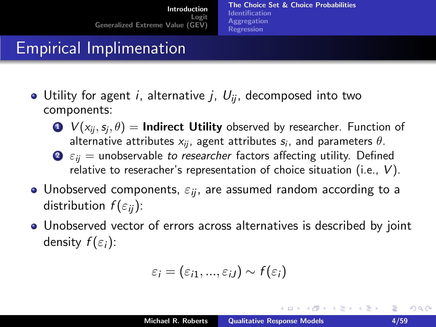[The Choice Set & Choice Probabilities](#page-1-0) [Identification](#page-5-0) [Aggregation](#page-10-0) [Regression](#page-12-0)

### Empirical Implimenation

- $\bullet$  Utility for agent *i*, alternative *j*,  $U_{ij}$ , decomposed into two components:
	- $\mathbf{D} \;\; V\!\left( x_{ij},s_j,\theta \right) = \mathbf{Indirect}\; \mathbf{Utility}$  observed by researcher. Function of alternative attributes  $x_{ij}$ , agent attributes  $s_i$ , and parameters  $\theta.$
	- $\bullet$   $\varepsilon_{ij}$  = unobservable to researcher factors affecting utility. Defined relative to reseracher's representation of choice situation (i.e., V).
- Unobserved components,  $\varepsilon_{ii}$ , are assumed random according to a distribution  $f(\varepsilon_{ii})$ :
- Unobserved vector of errors across alternatives is described by joint density  $f(\varepsilon_i)$ :

$$
\varepsilon_i=(\varepsilon_{i1},...,\varepsilon_{iJ})\sim f(\varepsilon_i)
$$

K ロ ⊁ K 倒 ≯ K ミ ⊁ K ミ ≯

 $2Q$ 

目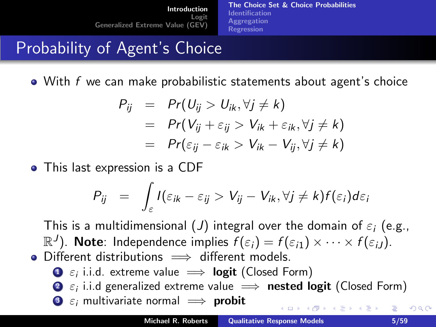[The Choice Set & Choice Probabilities](#page-1-0) [Identification](#page-5-0) **[Aggregation](#page-10-0)** [Regression](#page-12-0)

<span id="page-4-0"></span> $($   $\Box$   $\rightarrow$   $($  $\Box$   $\rightarrow$ 

## Probability of Agent's Choice

 $\bullet$  With f we can make probabilistic statements about agent's choice

$$
P_{ij} = Pr(U_{ij} > U_{ik}, \forall j \neq k)
$$
  
= Pr(V\_{ij} + \varepsilon\_{ij} > V\_{ik} + \varepsilon\_{ik}, \forall j \neq k)  
= Pr(\varepsilon\_{ij} - \varepsilon\_{ik} > V\_{ik} - V\_{ij}, \forall j \neq k)

• This last expression is a CDF

$$
P_{ij} = \int_{\varepsilon} I(\varepsilon_{ik} - \varepsilon_{ij} > V_{ij} - V_{ik}, \forall j \neq k) f(\varepsilon_i) d\varepsilon_i
$$

This is a multidimensional (J) integral over the domain of  $\varepsilon_i$  (e.g.,  $\mathbb{R}^J$ ). Note: Independence implies  $f(\varepsilon_i)=f(\varepsilon_{i1})\times\cdots\times f(\varepsilon_{iJ}).$ • Different distributions  $\implies$  different models.

- $\textbf{D}$   $\varepsilon_i$  i.i.d. extreme value  $\implies$   $\textbf{logit}$  (Closed Form)
- $\, {\bf 2} \,$   $\varepsilon_i$  i.i.d generalized extreme value  $\implies$  <code>nested logit</code> (Closed Form)
- $\bullet$   $\varepsilon_i$  multivariate normal  $\implies$  probit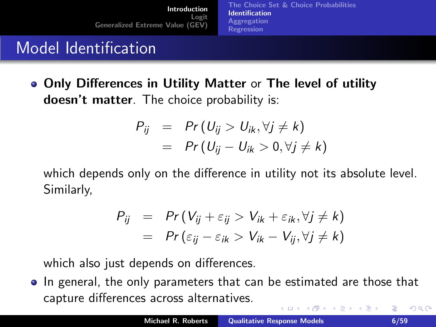[The Choice Set & Choice Probabilities](#page-1-0) [Identification](#page-5-0) **[Aggregation](#page-10-0)** [Regression](#page-12-0)

## Model Identification

Only Differences in Utility Matter or The level of utility doesn't matter. The choice probability is:

$$
P_{ij} = Pr(U_{ij} > U_{ik}, \forall j \neq k)
$$
  
= Pr(U<sub>ij</sub> - U<sub>ik</sub> > 0,  $\forall j \neq k$ )

which depends only on the difference in utility not its absolute level. Similarly,

<span id="page-5-0"></span>
$$
P_{ij} = Pr(V_{ij} + \varepsilon_{ij} > V_{ik} + \varepsilon_{ik}, \forall j \neq k)
$$
  
= Pr(\varepsilon\_{ij} - \varepsilon\_{ik} > V\_{ik} - V\_{ij}, \forall j \neq k)

which also just depends on differences.

In general, the only parameters that can be estimated are those that capture differences across alternatives. メロメ メ御 メメ きょ メモメ 重  $2Q$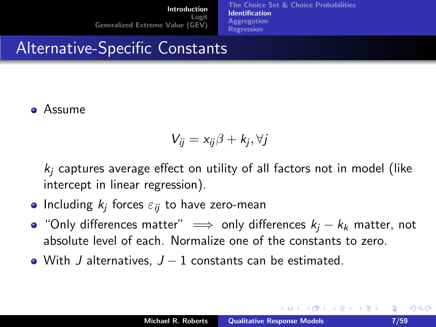[The Choice Set & Choice Probabilities](#page-1-0) [Identification](#page-5-0) **[Aggregation](#page-10-0)** [Regression](#page-12-0)

#### Alternative-Specific Constants

#### Assume

$$
V_{ij} = x_{ij}\beta + k_j, \forall j
$$

 $k_i$  captures average effect on utility of all factors not in model (like intercept in linear regression).

- Including  $k_j$  forces  $\varepsilon_{ij}$  to have zero-mean
- "Only differences matter"  $\implies$  only differences  $k_i k_k$  matter, not absolute level of each. Normalize one of the constants to zero.
- With J alternatives,  $J 1$  constants can be estimated.

<span id="page-6-0"></span>イロト イ母 トイラト イラト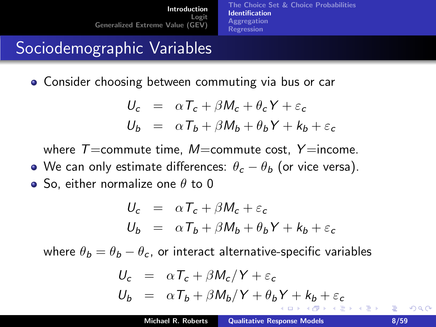[The Choice Set & Choice Probabilities](#page-1-0) [Identification](#page-5-0) **[Aggregation](#page-10-0)** [Regression](#page-12-0)

### Sociodemographic Variables

**• Consider choosing between commuting via bus or car** 

$$
U_c = \alpha T_c + \beta M_c + \theta_c Y + \varepsilon_c
$$
  

$$
U_b = \alpha T_b + \beta M_b + \theta_b Y + k_b + \varepsilon_c
$$

where  $T=$ commute time, M=commute cost, Y=income.

• We can only estimate differences:  $\theta_c - \theta_b$  (or vice versa).  $\bullet$  So, either normalize one  $\theta$  to 0

$$
U_c = \alpha T_c + \beta M_c + \varepsilon_c
$$
  

$$
U_b = \alpha T_b + \beta M_b + \theta_b Y + k_b + \varepsilon_c
$$

where  $\theta_b = \theta_b - \theta_c$ , or interact alternative-specific variables

<span id="page-7-0"></span>
$$
U_c = \alpha T_c + \beta M_c / Y + \varepsilon_c
$$
  

$$
U_b = \alpha T_b + \beta M_b / Y + \theta_b Y + k_b + \varepsilon_c
$$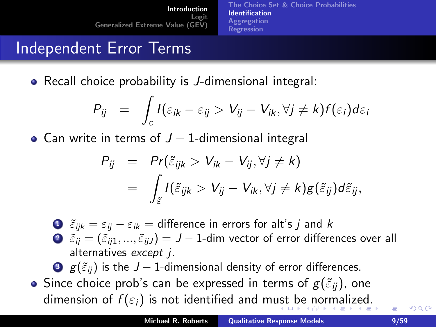[The Choice Set & Choice Probabilities](#page-1-0) [Identification](#page-5-0) **[Aggregation](#page-10-0)** [Regression](#page-12-0)

#### Independent Error Terms

• Recall choice probability is *J*-dimensional integral:

$$
P_{ij} = \int_{\varepsilon} I(\varepsilon_{ik} - \varepsilon_{ij} > V_{ij} - V_{ik}, \forall j \neq k) f(\varepsilon_i) d\varepsilon_i
$$

• Can write in terms of  $J - 1$ -dimensional integral

$$
P_{ij} = Pr(\tilde{\varepsilon}_{ijk} > V_{ik} - V_{ij}, \forall j \neq k)
$$
  
= 
$$
\int_{\tilde{\varepsilon}} I(\tilde{\varepsilon}_{ijk} > V_{ij} - V_{ik}, \forall j \neq k) g(\tilde{\varepsilon}_{ij}) d\tilde{\varepsilon}_{ij},
$$

 $\bullet$   $\tilde{\varepsilon}_{ijk} = \varepsilon_{ij} - \varepsilon_{ik} =$  difference in errors for alt's j and k  $\bullet$   $\tilde{\varepsilon}_{ii} = (\tilde{\varepsilon}_{ii1},...,\tilde{\varepsilon}_{iiJ}) = J - 1$ -dim vector of error differences over all alternatives except j.

**3**  $g(\tilde{\varepsilon}_{ii})$  is the  $J - 1$ -dimensional density of error differences.

• Since choice prob's can be expressed in terms of  $g(\tilde{\varepsilon}_{ii})$ , one dim[e](#page-0-0)nsion of  $f(\varepsilon_i)$  $f(\varepsilon_i)$  $f(\varepsilon_i)$  $f(\varepsilon_i)$  $f(\varepsilon_i)$  is not identified and m[ust](#page-7-0) [b](#page-9-0)e [no](#page-8-0)r[m](#page-4-0)[a](#page-5-0)l[iz](#page-10-0)e[d](#page-1-0)[.](#page-16-0)

<span id="page-8-0"></span> $\Omega$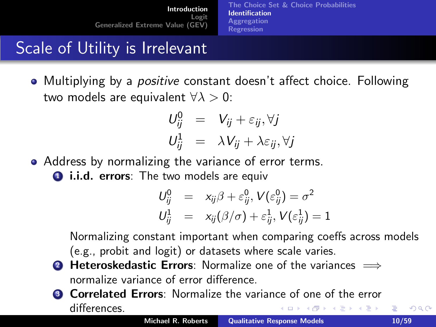[The Choice Set & Choice Probabilities](#page-1-0) [Identification](#page-5-0) **[Aggregation](#page-10-0)** [Regression](#page-12-0)

## Scale of Utility is Irrelevant

• Multiplying by a *positive* constant doesn't affect choice. Following two models are equivalent  $\forall \lambda > 0$ :

$$
U_{ij}^0 = V_{ij} + \varepsilon_{ij}, \forall j
$$
  

$$
U_{ij}^1 = \lambda V_{ij} + \lambda \varepsilon_{ij}, \forall j
$$

Address by normalizing the variance of error terms.

**1.i.d. errors**: The two models are equive

<span id="page-9-0"></span>
$$
U_{ij}^0 = x_{ij}\beta + \varepsilon_{ij}^0, V(\varepsilon_{ij}^0) = \sigma^2
$$
  

$$
U_{ij}^1 = x_{ij}(\beta/\sigma) + \varepsilon_{ij}^1, V(\varepsilon_{ij}^1) = 1
$$

Normalizing constant important when comparing coeffs across models (e.g., probit and logit) or datasets where scale varies.

- **2 Heteroskedastic Errors**: Normalize one of the variances  $\implies$ normalize variance of error difference.
- **3 Correlated Errors:** Normalize the variance of one of the error differences. - 4 n¶ **ALCOHOL: UNIT** a marin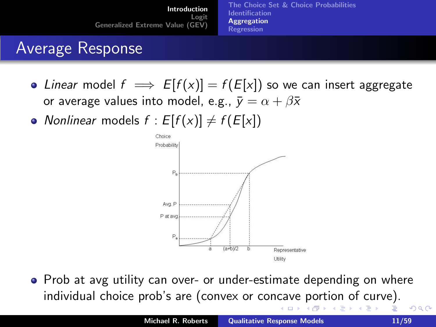[Introduction](#page-1-0) Logit [Generalized Extreme Value \(GEV\)](#page-46-0) [The Choice Set & Choice Probabilities](#page-1-0) [Identification](#page-5-0) [Aggregation](#page-10-0) [Regression](#page-12-0)

## Average Response

- Linear model  $f \implies E[f(x)] = f(E[x])$  so we can insert aggregate or average values into model, e.g.,  $\bar{y} = \alpha + \beta \bar{x}$
- Nonlinear models  $f : E[f(x)] \neq f(E[x])$



• Prob at avg utility can over- or under-estimate depending on where individual choice prob's are (convex or con[ca](#page-9-0)[ve](#page-11-0) [p](#page-9-0)[or](#page-10-0)[ti](#page-11-0)[o](#page-9-0)[n](#page-10-0)[o](#page-12-0)[f](#page-0-0) [c](#page-1-0)[u](#page-16-0)[r](#page-17-0)[ve](#page-0-0)[\).](#page-58-0)  $2Q$ 

<span id="page-10-0"></span>- 6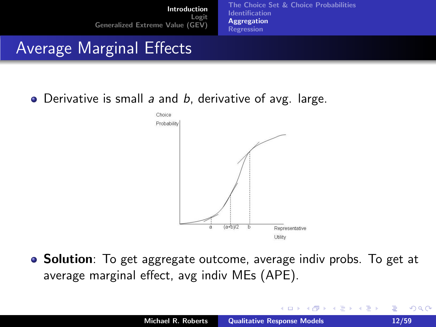[The Choice Set & Choice Probabilities](#page-1-0) [Identification](#page-5-0) [Aggregation](#page-10-0) [Regression](#page-12-0)

#### Average Marginal Effects

 $\bullet$  Derivative is small a and b, derivative of avg. large.



**Solution**: To get aggregate outcome, average indiv probs. To get at average marginal effect, avg indiv MEs (APE).

a mills.

- 4 FB +

<span id="page-11-0"></span> $2Q$ 

 $\equiv$   $\rightarrow$ 目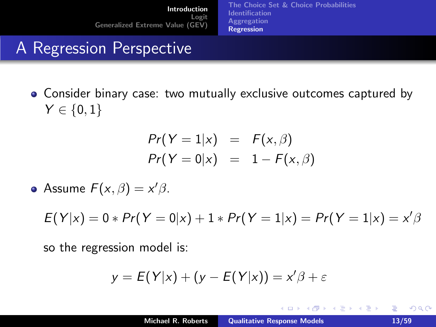[The Choice Set & Choice Probabilities](#page-1-0) [Identification](#page-5-0) **[Aggregation](#page-10-0) [Regression](#page-12-0)** 

## A Regression Perspective

Consider binary case: two mutually exclusive outcomes captured by  $Y \in \{0, 1\}$ 

$$
Pr(Y = 1|x) = F(x, \beta)
$$
  

$$
Pr(Y = 0|x) = 1 - F(x, \beta)
$$

Assume  $F(x, \beta) = x' \beta$ .

$$
E(Y|x) = 0 * Pr(Y = 0|x) + 1 * Pr(Y = 1|x) = Pr(Y = 1|x) = x'\beta
$$

so the regression model is:

$$
y = E(Y|x) + (y - E(Y|x)) = x'\beta + \varepsilon
$$

**K ロ ▶ K 伊 ▶** 

一 4 店 ト

 $\rightarrow$   $\pm$   $\rightarrow$ 

<span id="page-12-0"></span>重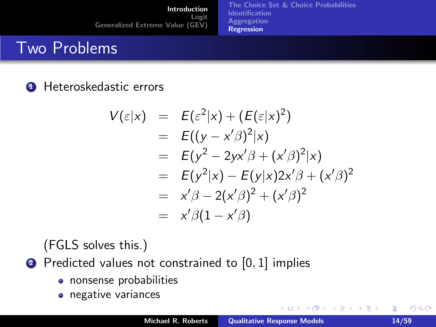[Introduction](#page-1-0) Logit [Generalized Extreme Value \(GEV\)](#page-46-0) [The Choice Set & Choice Probabilities](#page-1-0) [Identification](#page-5-0) [Aggregation](#page-10-0) [Regression](#page-12-0)

#### Two Problems

#### **4** Heteroskedastic errors

$$
V(\varepsilon|x) = E(\varepsilon^2|x) + (E(\varepsilon|x)^2) \n= E((y - x'\beta)^2|x) \n= E(y^2 - 2yx'\beta + (x'\beta)^2|x) \n= E(y^2|x) - E(y|x)2x'\beta + (x'\beta)^2 \n= x'\beta - 2(x'\beta)^2 + (x'\beta)^2 \n= x'\beta(1 - x'\beta)
$$

(FGLS solves this.)

#### 2 Predicted values not constrained to [0, 1] implies

- nonsense probabilities
- negative variances

**K ロ ▶ K 伊 ▶** 

∢ 重 ≯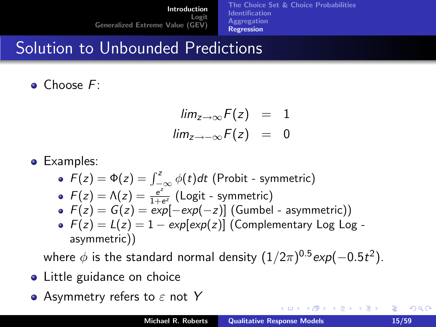[The Choice Set & Choice Probabilities](#page-1-0) [Identification](#page-5-0) **[Aggregation](#page-10-0)** [Regression](#page-12-0)

#### Solution to Unbounded Predictions

Choose F:

$$
\lim_{z \to \infty} F(z) = 1
$$
  

$$
\lim_{z \to -\infty} F(z) = 0
$$

**•** Examples:

\n- \n
$$
F(z) = \Phi(z) = \int_{-\infty}^{z} \phi(t) \, dt
$$
\n (Probability - symmetric)\n
\n- \n
$$
F(z) = \Lambda(z) = \frac{e^z}{1 + e^z}
$$
\n (Logit - symmetric)\n
\n- \n
$$
F(z) = G(z) = \exp[-\exp(-z)]
$$
\n (Gumbel - asymmetric)\n
\n- \n
$$
F(z) = L(z) = 1 - \exp[\exp(z)]
$$
\n (Complementary Log Log - asymmetric)\n
\n- \n asymmetric)\n
\n

where  $\phi$  is the standard normal density  $(1/2\pi)^{0.5}$ exp $(-0.5t^2).$ 

- Little guidance on choice
- Asymmetry refers to  $\varepsilon$  not Y

 $(5.7)$   $(5.7)$ 

<span id="page-14-0"></span> $2Q$ 

重

E N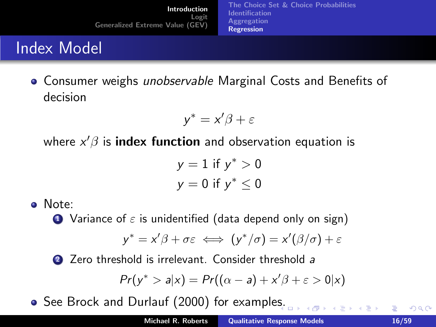[Introduction](#page-1-0) Logit [Generalized Extreme Value \(GEV\)](#page-46-0) [The Choice Set & Choice Probabilities](#page-1-0) [Identification](#page-5-0) **[Aggregation](#page-10-0)** [Regression](#page-12-0)

## Index Model

**• Consumer weighs** *unobservable* Marginal Costs and Benefits of decision

$$
y^* = x'\beta + \varepsilon
$$

where  $x'\beta$  is  $\boldsymbol{\mathsf{index}}\,$  function and observation equation is

 $y = 1$  if  $y^* > 0$  $y = 0$  if  $y^* \leq 0$ 

Note:

**1** Variance of  $\varepsilon$  is unidentified (data depend only on sign)

$$
y^* = x'\beta + \sigma \varepsilon \iff (y^*/\sigma) = x'(\beta/\sigma) + \varepsilon
$$

2 Zero threshold is irrelevant. Consider threshold a

$$
Pr(y^* > a | x) = Pr((\alpha - a) + x'\beta + \varepsilon > 0 | x)
$$

• See Brock and Durlauf (2000) for example[s.](#page-14-0)

 $000$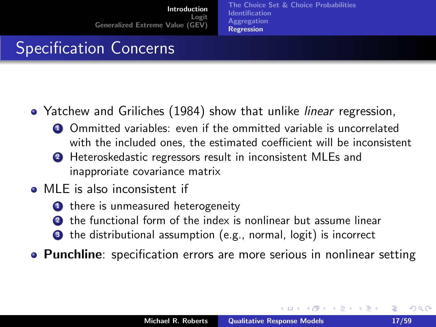[The Choice Set & Choice Probabilities](#page-1-0) [Identification](#page-5-0) **[Aggregation](#page-10-0)** [Regression](#page-12-0)

# Specification Concerns

- Yatchew and Griliches (1984) show that unlike *linear* regression,
	- **4** Ommitted variables: even if the ommitted variable is uncorrelated with the included ones, the estimated coefficient will be inconsistent
	- <sup>2</sup> Heteroskedastic regressors result in inconsistent MLEs and inapproriate covariance matrix
- **MLE** is also inconsistent if
	- **1** there is unmeasured heterogeneity
	- <sup>2</sup> the functional form of the index is nonlinear but assume linear
	- <sup>3</sup> the distributional assumption (e.g., normal, logit) is incorrect
- Punchline: specification errors are more serious in nonlinear setting

<span id="page-16-0"></span> $\Omega$ 

イロメ マ桐 メラミンマチャ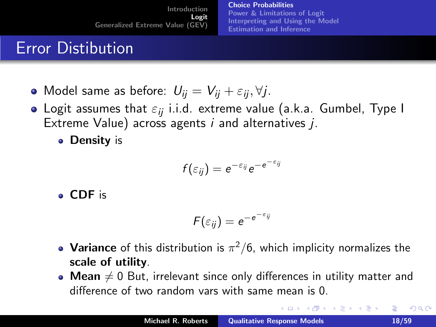[Choice Probabilities](#page-17-0) [Power & Limitations of Logit](#page-24-0) [Interpreting and Using the Model](#page-34-0) [Estimation and Inference](#page-40-0)

#### Error Distibution

- Model same as before:  $U_{ij} = V_{ij} + \varepsilon_{ij}, \forall j$ .
- Logit assumes that  $\varepsilon_{ii}$  i.i.d. extreme value (a.k.a. Gumbel, Type I Extreme Value) across agents  $i$  and alternatives  $i$ .
	- **Density is**

$$
f(\varepsilon_{ij})=e^{-\varepsilon_{ij}}e^{-e^{-\varepsilon_{ij}}}
$$

CDF is

$$
F(\varepsilon_{ij})=e^{-e^{-\varepsilon_{ij}}}
$$

- **Variance** of this distribution is  $\pi^2/6$ , which implicity normalizes the scale of utility.
- Mean  $\neq 0$  But, irrelevant since only differences in utility matter and difference of two random vars with same mean is 0.

<span id="page-17-0"></span>**K ロ ▶ K 御 ▶ K 唐**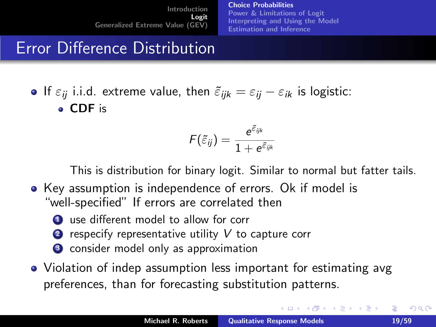[Choice Probabilities](#page-17-0) [Power & Limitations of Logit](#page-24-0) [Interpreting and Using the Model](#page-34-0) [Estimation and Inference](#page-40-0)

## Error Difference Distribution

**If**  $\varepsilon_{ii}$  i.i.d. extreme value, then  $\tilde{\varepsilon}_{iik} = \varepsilon_{ij} - \varepsilon_{ik}$  is logistic: CDF is

$$
\digamma(\tilde{\varepsilon}_{ij})=\frac{\text{e}^{\tilde{\varepsilon}_{ijk}}}{1+\text{e}^{\tilde{\varepsilon}_{ijk}}}
$$

This is distribution for binary logit. Similar to normal but fatter tails.

- Key assumption is independence of errors. Ok if model is "well-specified" If errors are correlated then
	- **1** use different model to allow for corr
	- **2** respecify representative utility  $V$  to capture corr
	- <sup>3</sup> consider model only as approximation
- Violation of indep assumption less important for estimating avg preferences, than for forecasting substitution patterns.

 $\Omega$ 

K ロ ⊁ K 倒 ≯ K ミ ⊁ K ミ ≯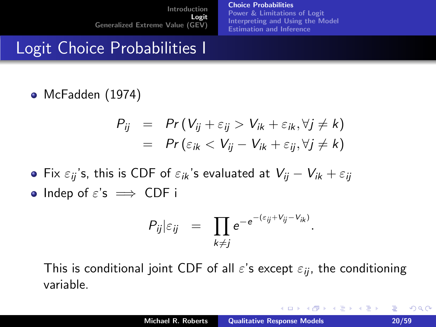[Choice Probabilities](#page-17-0) [Power & Limitations of Logit](#page-24-0) [Interpreting and Using the Model](#page-34-0) [Estimation and Inference](#page-40-0)

## Logit Choice Probabilities I

McFadden (1974)

$$
P_{ij} = Pr(V_{ij} + \varepsilon_{ij} > V_{ik} + \varepsilon_{ik}, \forall j \neq k) = Pr(\varepsilon_{ik} < V_{ij} - V_{ik} + \varepsilon_{ij}, \forall j \neq k)
$$

- **•** Fix  $\varepsilon_{ii}$ 's, this is CDF of  $\varepsilon_{ik}$ 's evaluated at  $V_{ii} V_{ik} + \varepsilon_{ii}$
- Indep of  $\varepsilon$ 's  $\implies$  CDF i

$$
P_{ij}|_{\varepsilon_{ij}} = \prod_{k \neq j} e^{-e^{-(\varepsilon_{ij} + V_{ij} - V_{ik})}}.
$$

This is conditional joint CDF of all  $\varepsilon$ 's except  $\varepsilon_{ii}$ , the conditioning variable.

メロメ メ御き メミメ メミメー

<span id="page-19-0"></span>重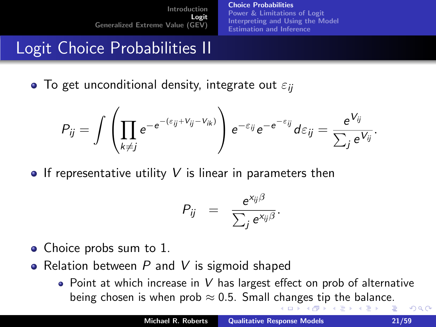[Choice Probabilities](#page-17-0) [Power & Limitations of Logit](#page-24-0) [Interpreting and Using the Model](#page-34-0) [Estimation and Inference](#page-40-0)

# Logit Choice Probabilities II

**•** To get unconditional density, integrate out  $\varepsilon_{ii}$ 

$$
P_{ij} = \int \left( \prod_{k \neq j} e^{-e^{-(\varepsilon_{ij} + V_{ij} - V_{ik})}} \right) e^{-\varepsilon_{ij}} e^{-e^{-\varepsilon_{ij}}} d\varepsilon_{ij} = \frac{e^{V_{ij}}}{\sum_j e^{V_{ij}}}.
$$

**•** If representative utility V is linear in parameters then

$$
P_{ij} = \frac{e^{x_{ij}\beta}}{\sum_j e^{x_{ij}\beta}}.
$$

- Choice probs sum to 1.
- Relation between  $P$  and  $V$  is sigmoid shaped
	- $\bullet$  Point at which increase in V has largest effect on prob of alternative bei[ng](#page-21-0) chos[e](#page-23-0)nis when pro[b](#page-16-0)  $\approx 0.5$  $\approx 0.5$  $\approx 0.5$  $\approx 0.5$  $\approx 0.5$ . Small [cha](#page-19-0)nge[s t](#page-20-0)[ip](#page-21-0) [th](#page-17-0)e b[al](#page-17-0)a[n](#page-46-0)[ce](#page-0-0).

<span id="page-20-0"></span> $\Omega$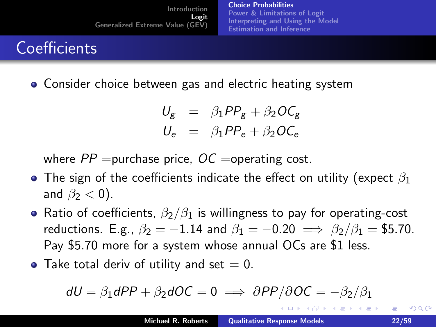[Choice Probabilities](#page-17-0) [Power & Limitations of Logit](#page-24-0) [Interpreting and Using the Model](#page-34-0) [Estimation and Inference](#page-40-0)

# **Coefficients**

Consider choice between gas and electric heating system

$$
U_g = \beta_1 P P_g + \beta_2 O C_g
$$
  

$$
U_e = \beta_1 P P_e + \beta_2 O C_e
$$

where  $PP$  =purchase price,  $OC$  =operating cost.

- The sign of the coefficients indicate the effect on utility (expect  $\beta_1$ and  $\beta_2 < 0$ ).
- Ratio of coefficients,  $\beta_2/\beta_1$  is willingness to pay for operating-cost reductions. E.g.,  $\beta_2 = -1.14$  and  $\beta_1 = -0.20 \implies \beta_2/\beta_1 = $5.70$ . Pay \$5.70 more for a system whose annual OCs are \$1 less.
- Take total deriv of utility and set  $= 0$ .

$$
dU = \beta_1 dPP + \beta_2 dOC = 0 \implies \partial PP/\partial OC = -\beta_2/\beta_1
$$

<span id="page-21-0"></span>へのへ

イロト イ母 トイラト イラト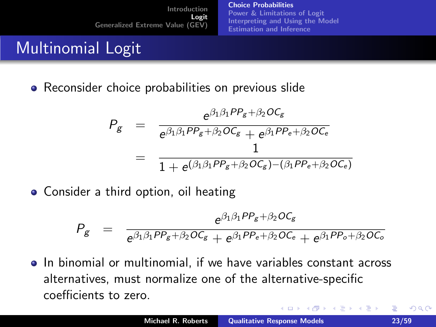[Choice Probabilities](#page-17-0) [Power & Limitations of Logit](#page-24-0) [Interpreting and Using the Model](#page-34-0) [Estimation and Inference](#page-40-0)

# Multinomial Logit

• Reconsider choice probabilities on previous slide

$$
P_g = \frac{e^{\beta_1 \beta_1 P P_g + \beta_2 O C_g}}{e^{\beta_1 \beta_1 P P_g + \beta_2 O C_g} + e^{\beta_1 P P_e + \beta_2 O C_e}}
$$
  
= 
$$
\frac{1}{1 + e^{\beta_1 \beta_1 P P_g + \beta_2 O C_g} - (\beta_1 P P_e + \beta_2 O C_e)}
$$

• Consider a third option, oil heating

$$
P_g = \frac{e^{\beta_1 \beta_1 P P_g + \beta_2 O C_g}}{e^{\beta_1 \beta_1 P P_g + \beta_2 O C_g} + e^{\beta_1 P P_e + \beta_2 O C_e} + e^{\beta_1 P P_o + \beta_2 O C_o}}
$$

• In binomial or multinomial, if we have variables constant across alternatives, must normalize one of the alternative-specific coefficients to zero.

4 D F 4 H F 4 E

<span id="page-22-0"></span> $\Omega$ 

**Exposure** 目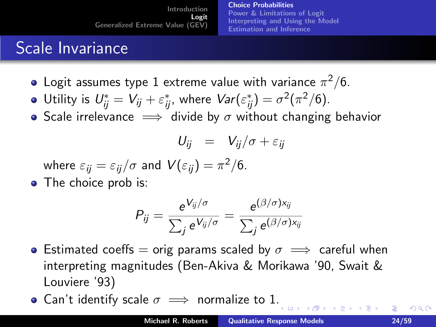[Choice Probabilities](#page-17-0) [Power & Limitations of Logit](#page-24-0) [Interpreting and Using the Model](#page-34-0) [Estimation and Inference](#page-40-0)

# Scale Invariance

- Logit assumes type 1 extreme value with variance  $\pi^2/6.$
- Utility is  $U_{ij}^* = V_{ij} + \varepsilon_{ij}^*$ , where  $Var(\varepsilon_{ij}^*) = \sigma^2(\pi^2/6)$ .
- Scale irrelevance  $\implies$  divide by  $\sigma$  without changing behavior

$$
U_{ij} = V_{ij}/\sigma + \varepsilon_{ij}
$$

where  $\varepsilon_{ij} = \varepsilon_{ij}/\sigma$  and  $V(\varepsilon_{ij}) = \pi^2/6$ .

• The choice prob is:

$$
P_{ij} = \frac{e^{V_{ij}/\sigma}}{\sum_j e^{V_{ij}/\sigma}} = \frac{e^{(\beta/\sigma)x_{ij}}}{\sum_j e^{(\beta/\sigma)x_{ij}}}
$$

- **•** Estimated coeffs = orig params scaled by  $\sigma \implies$  careful when interpreting magnitudes (Ben-Akiva & Morikawa '90, Swait & Louviere '93)
- Can't identify scale  $\sigma \implies$  normalize to 1[.](#page-22-0)

 $\Box$   $\rightarrow$   $\Box$   $\Box$   $\rightarrow$   $\Box$ 

<span id="page-23-0"></span> $\Omega$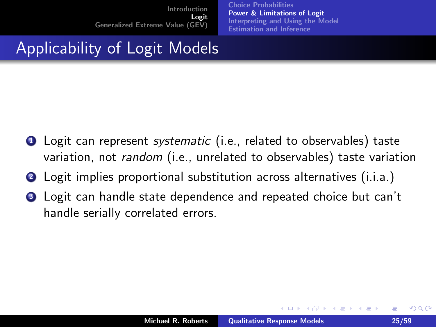[Choice Probabilities](#page-17-0) [Power & Limitations of Logit](#page-24-0) [Interpreting and Using the Model](#page-34-0) [Estimation and Inference](#page-40-0)

#### Applicability of Logit Models

- **1** Logit can represent systematic (i.e., related to observables) taste variation, not random (i.e., unrelated to observables) taste variation
- **2** Logit implies proportional substitution across alternatives (i.i.a.)
- **3** Logit can handle state dependence and repeated choice but can't handle serially correlated errors.

 $\leftarrow$   $\cap$   $\rightarrow$   $\leftarrow$   $\cap$   $\rightarrow$ 

<span id="page-24-0"></span> $\Omega$ 

na ⊞is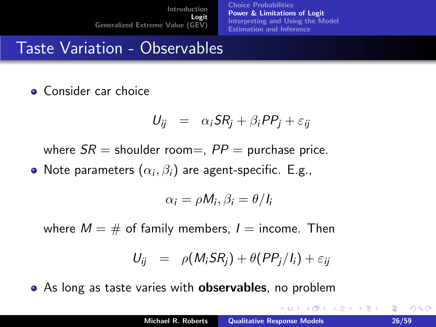[Choice Probabilities](#page-17-0) [Power & Limitations of Logit](#page-24-0) [Interpreting and Using the Model](#page-34-0) [Estimation and Inference](#page-40-0)

### Taste Variation - Observables

• Consider car choice

$$
U_{ij} = \alpha_i SR_j + \beta_i PP_j + \varepsilon_{ij}
$$

where  $SR =$  shoulder room=,  $PP =$  purchase price.

Note parameters  $(\alpha_i,\beta_i)$  are agent-specific. E.g.,

$$
\alpha_i = \rho M_i, \beta_i = \theta/I_i
$$

where  $M = #$  of family members,  $I =$  income. Then

$$
U_{ij} = \rho(M_i S R_j) + \theta (PP_j/I_i) + \varepsilon_{ij}
$$

• As long as taste varies with **observables**, no problem

 $4.71 \times 4.77 \times 4.75$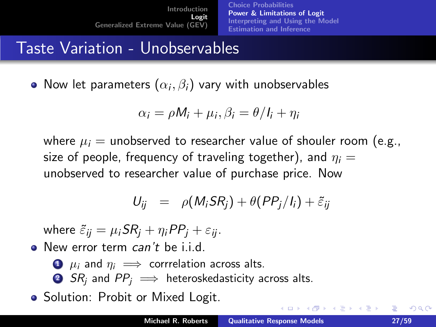[Choice Probabilities](#page-17-0) [Power & Limitations of Logit](#page-24-0) [Interpreting and Using the Model](#page-34-0) [Estimation and Inference](#page-40-0)

## Taste Variation - Unobservables

Now let parameters  $(\alpha_i,\beta_i)$  vary with unobservables

$$
\alpha_i = \rho M_i + \mu_i, \beta_i = \theta / I_i + \eta_i
$$

where  $\mu_i$  = unobserved to researcher value of shouler room (e.g., size of people, frequency of traveling together), and  $\eta_i =$ unobserved to researcher value of purchase price. Now

$$
U_{ij} = \rho(M_i S R_j) + \theta (P P_j / I_i) + \tilde{\varepsilon}_{ij}
$$

where  $\tilde{\varepsilon}_{ii} = \mu_i SR_i + \eta_i PP_i + \varepsilon_{ii}$ .

• New error term *can't* be i.i.d.

- $\bullet$   $\mu_i$  and  $\eta_i \implies$  corrrelation across alts.
- 2 SR<sub>i</sub> and  $PP_i \implies$  heteroskedasticity across alts.

• Solution: Probit or Mixed Logit.

 $\Omega$ 

メロメ メ御き メミメ メミメー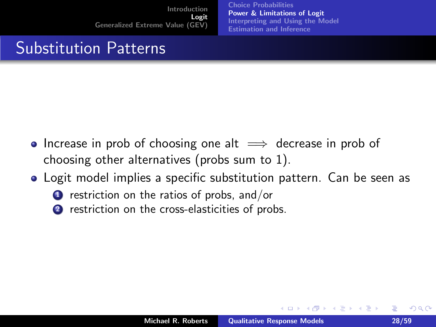[Choice Probabilities](#page-17-0) [Power & Limitations of Logit](#page-24-0) [Interpreting and Using the Model](#page-34-0) [Estimation and Inference](#page-40-0)

## Substitution Patterns

- Increase in prob of choosing one alt  $\implies$  decrease in prob of choosing other alternatives (probs sum to 1).
- Logit model implies a specific substitution pattern. Can be seen as
	- $\bullet$  restriction on the ratios of probs, and/or
	- 2 restriction on the cross-elasticities of probs.

 $\leftarrow$   $\cap$   $\rightarrow$   $\leftarrow$   $\cap$   $\rightarrow$ 

 $\Omega$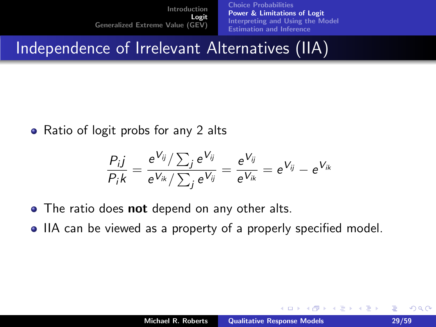[Choice Probabilities](#page-17-0) [Power & Limitations of Logit](#page-24-0) [Interpreting and Using the Model](#page-34-0) [Estimation and Inference](#page-40-0)

Independence of Irrelevant Alternatives (IIA)

• Ratio of logit probs for any 2 alts

$$
\frac{P_{i\dot{J}}}{P_{i}k}=\frac{e^{V_{ij}}/\sum_{j}e^{V_{ij}}}{e^{V_{ik}}/\sum_{j}e^{V_{ij}}}=\frac{e^{V_{ij}}}{e^{V_{ik}}}=e^{V_{ij}}-e^{V_{ik}}
$$

- The ratio does **not** depend on any other alts.
- IIA can be viewed as a property of a properly specified model.

 $\leftarrow$   $\cap$   $\rightarrow$   $\leftarrow$   $\cap$   $\rightarrow$ 

 $2Q$ 

 $\left\{ \begin{array}{c} 1 \end{array} \right.$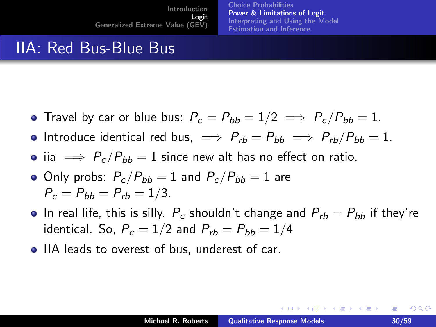[Choice Probabilities](#page-17-0) [Power & Limitations of Logit](#page-24-0) [Interpreting and Using the Model](#page-34-0) [Estimation and Inference](#page-40-0)

#### IIA: Red Bus-Blue Bus

- Travel by car or blue bus:  $P_c = P_{bb} = 1/2 \implies P_c/P_{bb} = 1$ .
- Introduce identical red bus,  $\implies P_{rb} = P_{bb} \implies P_{rb}/P_{bb} = 1$ .
- iia  $\implies P_c/P_{bb} = 1$  since new alt has no effect on ratio.
- Only probs:  $P_c/P_{bb} = 1$  and  $P_c/P_{bb} = 1$  are  $P_c = P_{bb} = P_{rb} = 1/3.$
- In real life, this is silly.  $P_c$  shouldn't change and  $P_{rb} = P_{bb}$  if they're identical. So,  $P_c = 1/2$  and  $P_{rb} = P_{bb} = 1/4$
- IIA leads to overest of bus, underest of car.

唾

すロチ す母 ト すき ト すき トー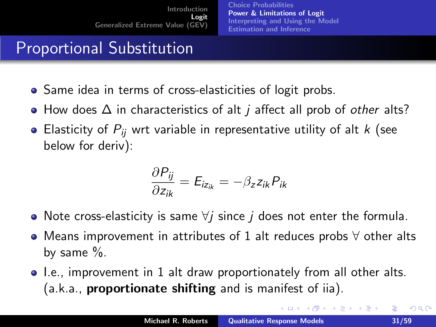[Choice Probabilities](#page-17-0) [Power & Limitations of Logit](#page-24-0) [Interpreting and Using the Model](#page-34-0) [Estimation and Inference](#page-40-0)

# Proportional Substitution

- Same idea in terms of cross-elasticities of logit probs.
- How does  $\Delta$  in characteristics of alt *i* affect all prob of *other* alts?
- Elasticity of  $P_{ij}$  wrt variable in representative utility of alt  $k$  (see below for deriv):

$$
\frac{\partial P_{ij}}{\partial z_{ik}} = E_{iz_{ik}} = -\beta_z z_{ik} P_{ik}
$$

- Note cross-elasticity is same  $\forall j$  since j does not enter the formula.
- Means improvement in attributes of 1 alt reduces probs ∀ other alts by same %.
- I.e., improvement in 1 alt draw proportionately from all other alts.  $(a.k.a.,$  proportionate shifting and is manifest of iia).

**K ロ ト K 何 ト K ミ ト**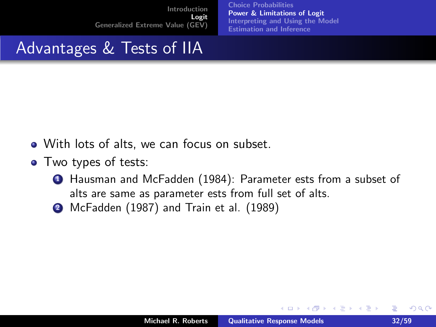[Choice Probabilities](#page-17-0) [Power & Limitations of Logit](#page-24-0) [Interpreting and Using the Model](#page-34-0) [Estimation and Inference](#page-40-0)

## Advantages & Tests of IIA

- With lots of alts, we can focus on subset.
- Two types of tests:
	- <sup>1</sup> Hausman and McFadden (1984): Parameter ests from a subset of alts are same as parameter ests from full set of alts.
	- <sup>2</sup> McFadden (1987) and Train et al. (1989)

 $\leftarrow$   $\cap$   $\rightarrow$   $\leftarrow$   $\cap$   $\rightarrow$ 

**ALC: NO**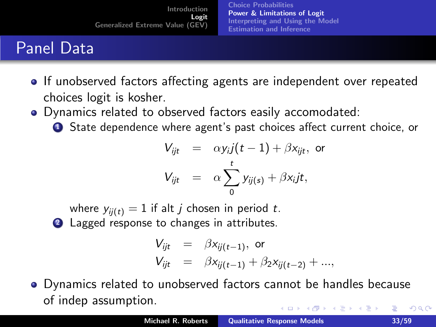[Choice Probabilities](#page-17-0) [Power & Limitations of Logit](#page-24-0) [Interpreting and Using the Model](#page-34-0) [Estimation and Inference](#page-40-0)

# Panel Data

- If unobserved factors affecting agents are independent over repeated choices logit is kosher.
- Dynamics related to observed factors easily accomodated:
	- **1** State dependence where agent's past choices affect current choice, or

$$
V_{ijt} = \alpha y_{i} j(t-1) + \beta x_{ijt}, \text{ or}
$$
  

$$
V_{ijt} = \alpha \sum_{0}^{t} y_{ij(s)} + \beta x_{i} jt,
$$

where  $y_{ii(t)} = 1$  if alt *j* chosen in period *t*. 2 Lagged response to changes in attributes.

<span id="page-32-0"></span>
$$
V_{ijt} = \beta x_{ij(t-1)}, \text{ or}
$$
  
\n
$$
V_{ijt} = \beta x_{ij(t-1)} + \beta_2 x_{ij(t-2)} + \dots,
$$

Dynamics related to unobserved factors cannot be handles because of indep assumption.  $4.11 \times 4.60 \times 4.72 \times$ 重  $2Q$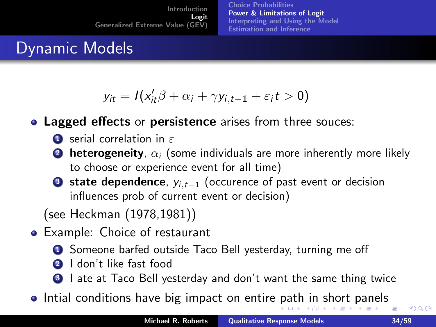<span id="page-33-0"></span>[Choice Probabilities](#page-17-0) [Power & Limitations of Logit](#page-24-0) [Interpreting and Using the Model](#page-34-0) [Estimation and Inference](#page-40-0)

## Dynamic Models

$$
y_{it} = I(x_{it}'\beta + \alpha_i + \gamma y_{i,t-1} + \varepsilon_i t > 0)
$$

• Lagged effects or persistence arises from three souces:

- $\bullet$  serial correlation in  $\varepsilon$
- **2** heterogeneity,  $\alpha_i$  (some individuals are more inherently more likely to choose or experience event for all time)
- **3 state dependence**,  $y_{i,t-1}$  (occurence of past event or decision influences prob of current event or decision)

(see Heckman (1978,1981))

- **•** Example: Choice of restaurant
	- **1** Someone barfed outside Taco Bell yesterday, turning me off
	- <sup>2</sup> I don't like fast food
	- **3** I ate at Taco Bell yesterday and don't want the same thing twice
- Intial conditions have big impact on entire [pa](#page-32-0)[th](#page-34-0) [i](#page-32-0)[n](#page-45-0) [s](#page-34-0)[h](#page-23-0)[o](#page-24-0)[rt](#page-33-0)[p](#page-16-0)[a](#page-17-0)n[el](#page-46-0)[s](#page-0-0) 重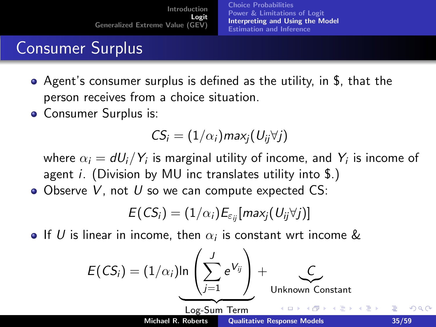[Choice Probabilities](#page-17-0) [Power & Limitations of Logit](#page-24-0) [Interpreting and Using the Model](#page-34-0) [Estimation and Inference](#page-40-0)

# Consumer Surplus

- Agent's consumer surplus is defined as the utility, in \$, that the person receives from a choice situation.
- Consumer Surplus is:

$$
CS_i = (1/\alpha_i) max_j (U_{ij} \forall j)
$$

where  $\alpha_i = \mathsf{d} U_i/Y_i$  is marginal utility of income, and  $Y_i$  is income of agent *i*. (Division by MU inc translates utility into  $\S$ .)

 $\bullet$  Observe V, not U so we can compute expected CS:

<span id="page-34-0"></span>
$$
E(CS_i) = (1/\alpha_i)E_{\varepsilon_{ij}}[max_j(U_{ij}\forall j)]
$$

If  $U$  is linear in income, then  $\alpha_i$  is constant wrt income  $\&$ 

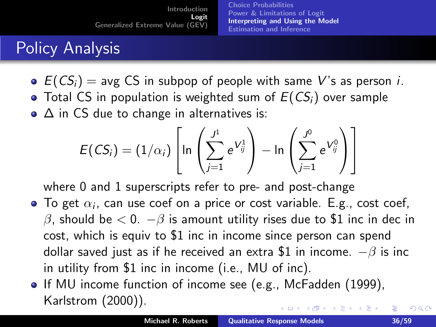[Choice Probabilities](#page-17-0) [Power & Limitations of Logit](#page-24-0) [Interpreting and Using the Model](#page-34-0) [Estimation and Inference](#page-40-0)

# Policy Analysis

 $\bullet$   $E(CS_i)$  = avg CS in subpop of people with same V's as person *i*.  $\bullet$  Total CS in population is weighted sum of  $E(CS_i)$  over sample  $\bullet$   $\Delta$  in CS due to change in alternatives is:

$$
E(CS_i) = (1/\alpha_i) \left[ \ln \left( \sum_{j=1}^{J^1} e^{V^1_{ij}} \right) - \ln \left( \sum_{j=1}^{J^0} e^{V^0_{ij}} \right) \right]
$$

where 0 and 1 superscripts refer to pre- and post-change

- To get  $\alpha_i$ , can use coef on a price or cost variable. E.g., cost coef, β, should be  $< 0$ .  $-\beta$  is amount utility rises due to \$1 inc in dec in cost, which is equiv to \$1 inc in income since person can spend dollar saved just as if he received an extra \$1 in income.  $-\beta$  is inc in utility from \$1 inc in income (i.e., MU of inc).
- If MU income function of income see (e.g., McFadden (1999), Karlstrom (2000)). イロメ イ部メ イヨメ イヨメー

 $\Omega$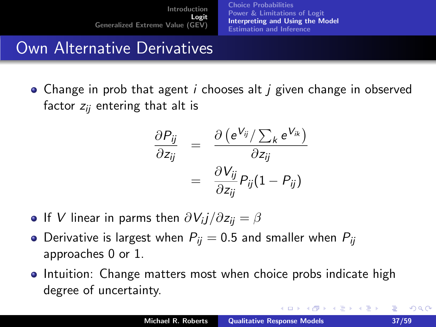[Choice Probabilities](#page-17-0) [Power & Limitations of Logit](#page-24-0) [Interpreting and Using the Model](#page-34-0) [Estimation and Inference](#page-40-0)

#### Own Alternative Derivatives

• Change in prob that agent  $i$  chooses alt  $j$  given change in observed factor  $z_{ii}$  entering that alt is

$$
\frac{\partial P_{ij}}{\partial z_{ij}} = \frac{\partial (e^{V_{ij}} / \sum_{k} e^{V_{ik}})}{\partial z_{ij}}
$$

$$
= \frac{\partial V_{ij}}{\partial z_{ij}} P_{ij} (1 - P_{ij})
$$

- If  $V$  linear in parms then  $\partial V_{i}j/\partial z_{ij}=\beta$
- Derivative is largest when  $P_{ii} = 0.5$  and smaller when  $P_{ii}$ approaches 0 or 1.
- Intuition: Change matters most when choice probs indicate high degree of uncertainty.

 $2Q$ 

メロメ メ御 メメ きょ メモメ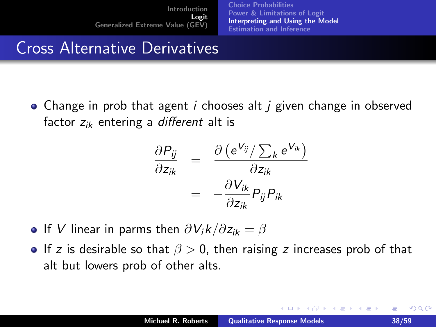[Choice Probabilities](#page-17-0) [Power & Limitations of Logit](#page-24-0) [Interpreting and Using the Model](#page-34-0) [Estimation and Inference](#page-40-0)

### Cross Alternative Derivatives

• Change in prob that agent  $i$  chooses alt  $j$  given change in observed factor  $z_{ik}$  entering a different alt is

$$
\frac{\partial P_{ij}}{\partial z_{ik}} = \frac{\partial (e^{V_{ij}} / \sum_k e^{V_{ik}})}{\partial z_{ik}}
$$

$$
= -\frac{\partial V_{ik}}{\partial z_{ik}} P_{ij} P_{ik}
$$

- **If V** linear in parms then  $\partial V_i k / \partial z_{ik} = \beta$
- **If** z is desirable so that  $\beta > 0$ , then raising z increases prob of that alt but lowers prob of other alts.

 $\left\{ \begin{array}{ccc} 1 & 0 & 0 \\ 0 & 1 & 0 \end{array} \right\}$  ,  $\left\{ \begin{array}{ccc} -1 & 0 & 0 \\ 0 & 0 & 0 \end{array} \right\}$ 

na ⊞is

 $\Omega$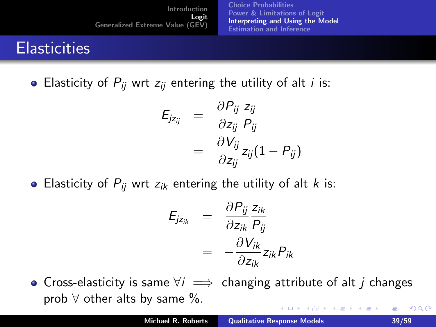[Choice Probabilities](#page-17-0) [Power & Limitations of Logit](#page-24-0) [Interpreting and Using the Model](#page-34-0) [Estimation and Inference](#page-40-0)

# **Elasticities**

• Elasticity of  $P_{ij}$  wrt  $z_{ij}$  entering the utility of alt *i* is:

$$
E_{jz_{ij}} = \frac{\partial P_{ij}}{\partial z_{ij}} \frac{z_{ij}}{P_{ij}}
$$
  
= 
$$
\frac{\partial V_{ij}}{\partial z_{ij}} z_{ij} (1 - P_{ij})
$$

• Elasticity of  $P_{ij}$  wrt  $z_{ik}$  entering the utility of alt k is:

$$
E_{jz_{ik}} = \frac{\partial P_{ij}}{\partial z_{ik}} \frac{z_{ik}}{P_{ij}}
$$
  
= 
$$
-\frac{\partial V_{ik}}{\partial z_{ik}} z_{ik} P_{ik}
$$

• Cross-elasticity is same  $\forall i \implies$  changing attribute of alt j changes prob  $\forall$  other alts by same  $\%$ . イロメ イ母メ イヨメ イヨメー 重  $2Q$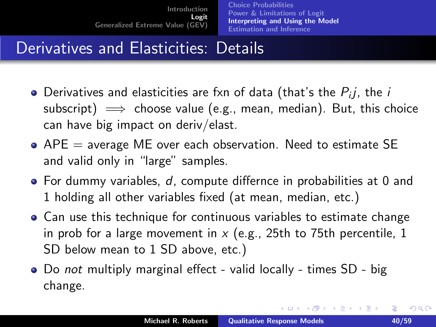[Choice Probabilities](#page-17-0) [Power & Limitations of Logit](#page-24-0) [Interpreting and Using the Model](#page-34-0) [Estimation and Inference](#page-40-0)

# Derivatives and Elasticities: Details

- Derivatives and elasticities are fxn of data (that's the  $P_{i}j$ , the  $i$ subscript)  $\implies$  choose value (e.g., mean, median). But, this choice can have big impact on deriv/elast.
- $\bullet$  APE = average ME over each observation. Need to estimate SE and valid only in "large" samples.
- For dummy variables, d, compute differnce in probabilities at 0 and 1 holding all other variables fixed (at mean, median, etc.)
- Can use this technique for continuous variables to estimate change in prob for a large movement in  $x$  (e.g., 25th to 75th percentile, 1 SD below mean to 1 SD above, etc.)
- Do not multiply marginal effect valid locally times SD big change.

<span id="page-39-0"></span> $2Q$ 

メロメ メ御 メメ きょくきょう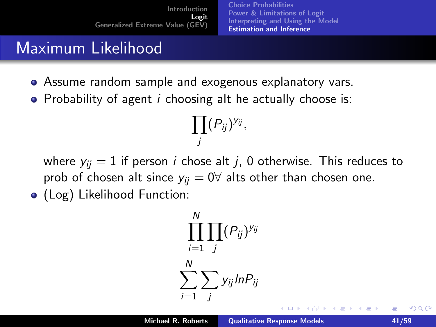[Choice Probabilities](#page-17-0) [Power & Limitations of Logit](#page-24-0) [Interpreting and Using the Model](#page-34-0) [Estimation and Inference](#page-40-0)

# Maximum Likelihood

- Assume random sample and exogenous explanatory vars.
- Probability of agent  $i$  choosing alt he actually choose is:

$$
\prod_j (P_{ij})^{y_{ij}},
$$

where  $y_{ii} = 1$  if person *i* chose alt *j*, 0 otherwise. This reduces to prob of chosen alt since  $y_{ii} = 0 \forall$  alts other than chosen one.

• (Log) Likelihood Function:

$$
\prod_{i=1}^{N} \prod_{j} (P_{ij})^{y_{ij}}
$$

$$
\sum_{i=1}^{N} \sum_{j} y_{ij} ln P_{ij}
$$

 $\leftarrow$   $\cap$   $\rightarrow$   $\leftarrow$   $\cap$   $\rightarrow$ 

<span id="page-40-0"></span> $\Omega$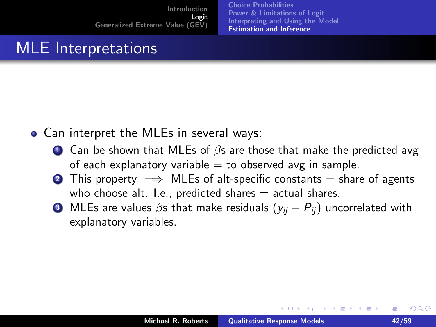[Choice Probabilities](#page-17-0) [Power & Limitations of Logit](#page-24-0) [Interpreting and Using the Model](#page-34-0) [Estimation and Inference](#page-40-0)

# MLE Interpretations

- Can interpret the MLEs in several ways:
	- **1** Can be shown that MLEs of  $\beta$ s are those that make the predicted avg of each explanatory variable  $=$  to observed avg in sample.
	- **2** This property  $\implies$  MLEs of alt-specific constants = share of agents who choose alt. I.e., predicted shares  $=$  actual shares.
	- **3** MLEs are values  $\beta$ s that make residuals  $(y_{ij} P_{ij})$  uncorrelated with explanatory variables.

 $\leftarrow$   $\cap$   $\rightarrow$   $\leftarrow$   $\cap$   $\rightarrow$ 

<span id="page-41-0"></span> $\Omega$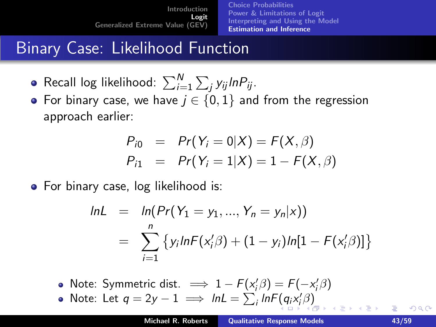[Choice Probabilities](#page-17-0) [Power & Limitations of Logit](#page-24-0) [Interpreting and Using the Model](#page-34-0) [Estimation and Inference](#page-40-0)

# Binary Case: Likelihood Function

- Recall log likelihood:  $\sum_{i=1}^N\sum_j y_{ij}$ In $P_{ij}$ .
- For binary case, we have  $j \in \{0,1\}$  and from the regression approach earlier:

$$
P_{i0} = Pr(Y_i = 0|X) = F(X, \beta)
$$
  
\n
$$
P_{i1} = Pr(Y_i = 1|X) = 1 - F(X, \beta)
$$

• For binary case, log likelihood is:

$$
lnL = ln(Pr(Y_1 = y_1, ..., Y_n = y_n | x))
$$
  
= 
$$
\sum_{i=1}^{n} \{ y_i lnF(x'_i \beta) + (1 - y_i) ln[1 - F(x'_i \beta)] \}
$$

- Note: Symmetric dist.  $\implies 1 F(x_i/\beta) = F(-x_i/\beta)$
- Note: Let  $q = 2y 1 \implies lnL = \sum_i lnF(q_i x_i' \beta)$  $q = 2y 1 \implies lnL = \sum_i lnF(q_i x_i' \beta)$  $q = 2y 1 \implies lnL = \sum_i lnF(q_i x_i' \beta)$  $q = 2y 1 \implies lnL = \sum_i lnF(q_i x_i' \beta)$  $q = 2y 1 \implies lnL = \sum_i lnF(q_i x_i' \beta)$  $q = 2y 1 \implies lnL = \sum_i lnF(q_i x_i' \beta)$

<span id="page-42-0"></span>∽≏ດ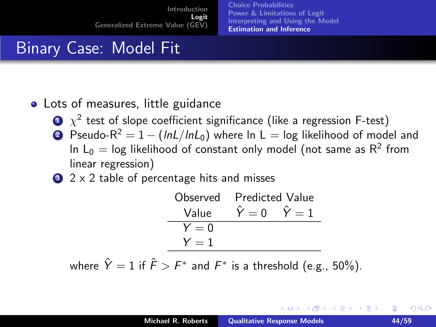[Choice Probabilities](#page-17-0) [Power & Limitations of Logit](#page-24-0) [Interpreting and Using the Model](#page-34-0) [Estimation and Inference](#page-40-0)

# Binary Case: Model Fit

#### • Lots of measures, little guidance

- $\mathbf{D}$   $\chi^2$  test of slope coefficient significance (like a regression F-test)
- 2 Pseudo- $R^2 = 1 (lnL/lnL_0)$  where ln L = log likelihood of model and In  $\mathsf{L}_0 = \mathsf{log}$  likelihood of constant only model (not same as  $\mathsf{R}^2$  from linear regression)
- $\bullet$  2 x 2 table of percentage hits and misses

$$
\begin{array}{ll}\n\text{Observed} & \text{Predicted Value} \\
\hline\n\text{Value} & \hat{Y} = 0 \\
\hline\nY = 0 \\
Y = 1\n\end{array}
$$

where  $\hat{Y}=1$  if  $\hat{F} > F^*$  and  $F^*$  is a threshold (e.g., 50%).

<span id="page-43-0"></span>へのへ

K ロ ⊁ K 倒 ≯ K ミ ⊁ K ミ ≯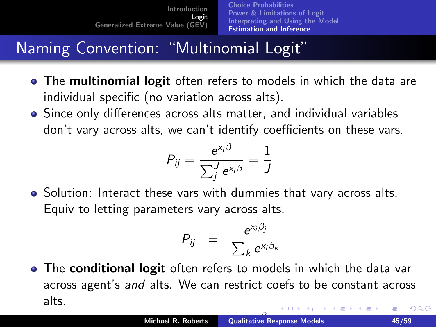[Choice Probabilities](#page-17-0) [Power & Limitations of Logit](#page-24-0) [Interpreting and Using the Model](#page-34-0) [Estimation and Inference](#page-40-0)

# Naming Convention: "Multinomial Logit"

- The multinomial logit often refers to models in which the data are individual specific (no variation across alts).
- Since only differences across alts matter, and individual variables don't vary across alts, we can't identify coefficients on these vars.

$$
P_{ij} = \frac{e^{x_i \beta}}{\sum_j l} e^{x_i \beta} = \frac{1}{J}
$$

• Solution: Interact these vars with dummies that vary across alts. Equiv to letting parameters vary across alts.

<span id="page-44-0"></span>
$$
P_{ij} = \frac{e^{x_i \beta_j}}{\sum_k e^{x_i \beta_k}}
$$

• The conditional logit often refers to models in which the data var across agent's and alts. We can restrict coefs to be constant across alts.  $2Q$ 4 0 5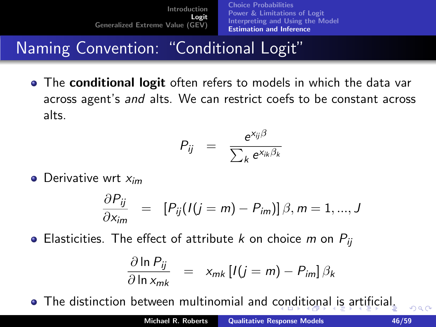[Choice Probabilities](#page-17-0) [Power & Limitations of Logit](#page-24-0) [Interpreting and Using the Model](#page-34-0) [Estimation and Inference](#page-40-0)

Naming Convention: "Conditional Logit"

• The conditional logit often refers to models in which the data var across agent's and alts. We can restrict coefs to be constant across alts.

$$
P_{ij} = \frac{e^{x_{ij}\beta}}{\sum_{k} e^{x_{ik}\beta_k}}
$$

 $\bullet$  Derivative wrt  $x_{im}$ 

$$
\frac{\partial P_{ij}}{\partial x_{im}} = [P_{ij}(I(j=m)-P_{im})]\beta, m=1,...,J
$$

• Elasticities. The effect of attribute k on choice m on  $P_{ii}$ 

$$
\frac{\partial \ln P_{ij}}{\partial \ln x_{mk}} = x_{mk} [I(j=m) - P_{im}] \beta_k
$$

The distinction between multinomial and [con](#page-44-0)[dit](#page-46-0)[i](#page-44-0)[on](#page-45-0)[a](#page-46-0)[l](#page-39-0) [is](#page-40-0)[a](#page-46-0)[rt](#page-16-0)[i](#page-17-0)[fi](#page-45-0)[ci](#page-46-0)[al](#page-0-0)[.](#page-58-0)

<span id="page-45-0"></span> $\Omega$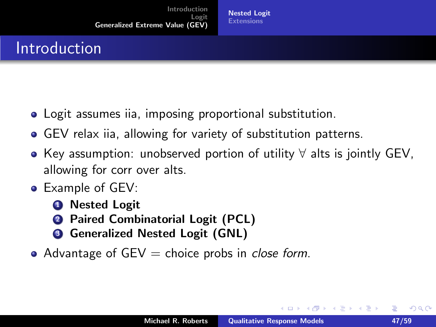#### Introduction

- Logit assumes iia, imposing proportional substitution.
- GEV relax iia, allowing for variety of substitution patterns.
- Key assumption: unobserved portion of utility ∀ alts is jointly GEV, allowing for corr over alts.
- Example of GEV:
	- **1** Nested Logit
	- **2** Paired Combinatorial Logit (PCL)
	- **3** Generalized Nested Logit (GNL)
- Advantage of  $GEV =$  choice probs in *close form*.

 $\rightarrow$   $\overline{m}$   $\rightarrow$ 

<span id="page-46-0"></span>つくい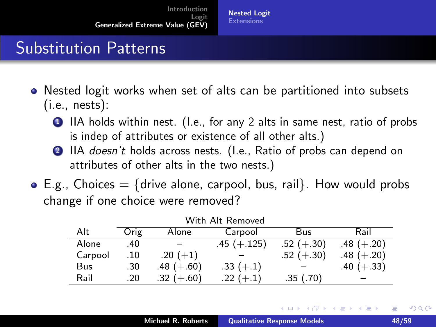# Substitution Patterns

- Nested logit works when set of alts can be partitioned into subsets  $(i.e., nests):$ 
	- **1** IIA holds within nest. (I.e., for any 2 alts in same nest, ratio of probs is indep of attributes or existence of all other alts.)
	- 2 IIA doesn't holds across nests. (I.e., Ratio of probs can depend on attributes of other alts in the two nests.)
- $\bullet$  E.g., Choices  $=$  {drive alone, carpool, bus, rail}. How would probs change if one choice were removed?

| Alt     | Orig | Alone        | Carpool       | Bus          | Rail         |
|---------|------|--------------|---------------|--------------|--------------|
| Alone   | .40  |              | $.45 (+.125)$ | $.52 (+.30)$ | $.48 (+.20)$ |
| Carpool | .10  | $.20(+1)$    |               | $.52 (+.30)$ | $.48 (+.20)$ |
| Bus     | .30  | $.48 (+.60)$ | $.33 (+.1)$   |              | $.40 (+.33)$ |
| Rail    | .20  | $.32 (+.60)$ | $.22 (+.1)$   | .35(.70)     |              |

| With Alt Removed |  |  |
|------------------|--|--|
|------------------|--|--|

イロメ イ部メ イヨメ イヨメー

 $\Omega$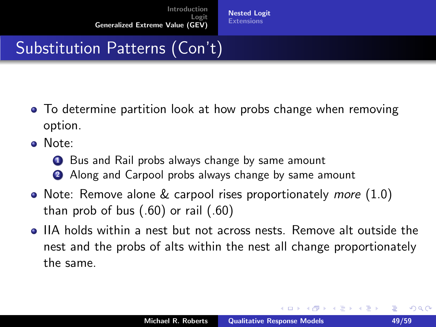# Substitution Patterns (Con't)

- To determine partition look at how probs change when removing option.
- Note:
	- **1** Bus and Rail probs always change by same amount
	- 2 Along and Carpool probs always change by same amount
- Note: Remove alone  $&$  carpool rises proportionately *more*  $(1.0)$ than prob of bus (.60) or rail (.60)
- IIA holds within a nest but not across nests. Remove alt outside the nest and the probs of alts within the nest all change proportionately the same.

**K ロ ト K 倒 ト K 走 ト** 

ia ⊞is

 $\Omega$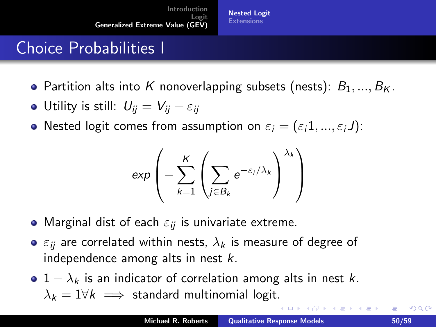[Nested Logit](#page-46-0) **[Extensions](#page-58-0)** 

## Choice Probabilities I

- Partition alts into K nonoverlapping subsets (nests):  $B_1, ..., B_K$ .
- Utility is still:  $U_{ii} = V_{ii} + \varepsilon_{ii}$
- Nested logit comes from assumption on  $\varepsilon_i = (\varepsilon_i 1, ..., \varepsilon_i J)$ :

$$
\exp\left(-\sum_{k=1}^K\left(\sum_{j\in B_k}e^{-\varepsilon_j/\lambda_k}\right)^{\lambda_k}\right)
$$

- Marginal dist of each  $\varepsilon_{ij}$  is univariate extreme.
- $\bullet$   $\varepsilon_{ii}$  are correlated within nests,  $\lambda_k$  is measure of degree of independence among alts in nest  $k$ .
- $1 \lambda_k$  is an indicator of correlation among alts in nest k.  $\lambda_k = 1 \forall k \implies$  standard multinomial logit.

∢ ロ ▶ 《 御 》 《 君 》 《 君 》 。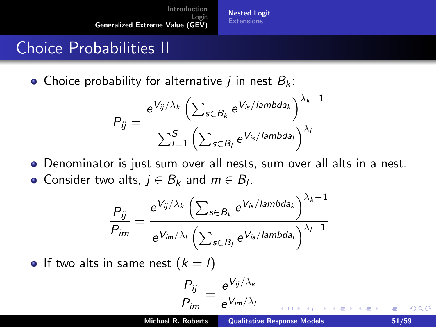[Nested Logit](#page-46-0) **[Extensions](#page-58-0)** 

### Choice Probabilities II

• Choice probability for alternative *i* in nest  $B_k$ :

$$
P_{ij} = \frac{e^{V_{ij}/\lambda_k} \left( \sum_{s \in B_k} e^{V_{is}/\lambda} \right)^{\lambda_k - 1}}{\sum_{l=1}^S \left( \sum_{s \in B_l} e^{V_{is}/\lambda} \right)^{\lambda_l}}
$$

- Denominator is just sum over all nests, sum over all alts in a nest.
- Consider two alts,  $j \in B_k$  and  $m \in B_l$ .

$$
\frac{P_{ij}}{P_{im}} = \frac{e^{V_{ij}/\lambda_k} \left( \sum_{s \in B_k} e^{V_{is}/\text{lambda}_k} \right)^{\lambda_k - 1}}{e^{V_{im}/\lambda_l} \left( \sum_{s \in B_l} e^{V_{is}/\text{lambda}_l} \right)^{\lambda_l - 1}}
$$

• If two alts in same nest  $(k = l)$ 

$$
\frac{P_{ij}}{P_{im}} = \frac{e^{V_{ij}/\lambda_k}}{e^{V_{im}/\lambda_l}}
$$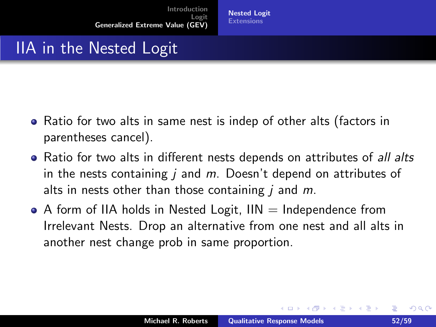# IIA in the Nested Logit

- Ratio for two alts in same nest is indep of other alts (factors in parentheses cancel).
- Ratio for two alts in different nests depends on attributes of all alts in the nests containing  $i$  and  $m$ . Doesn't depend on attributes of alts in nests other than those containing  *and*  $*m*$ *.*
- $\bullet$  A form of IIA holds in Nested Logit, IIN  $=$  Independence from Irrelevant Nests. Drop an alternative from one nest and all alts in another nest change prob in same proportion.

 $2Q$ 

イロメ マ桐 メラミンマチャ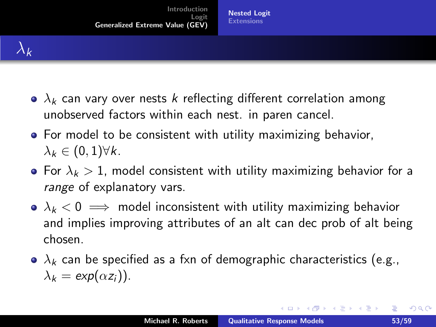- $\bullet$   $\lambda_k$  can vary over nests k reflecting different correlation among unobserved factors within each nest. in paren cancel.
- **•** For model to be consistent with utility maximizing behavior,  $\lambda_k \in (0,1) \forall k.$
- For  $\lambda_k > 1$ , model consistent with utility maximizing behavior for a range of explanatory vars.
- $\lambda_k < 0 \implies$  model inconsistent with utility maximizing behavior and implies improving attributes of an alt can dec prob of alt being chosen.
- $\bullet$   $\lambda_k$  can be specified as a fxn of demographic characteristics (e.g.,  $\lambda_k = \exp(\alpha z_i)$ .

唾

 $2Q$ 

K ロ ▶ K 御 ▶ K 君 ▶ K 君 ▶ ...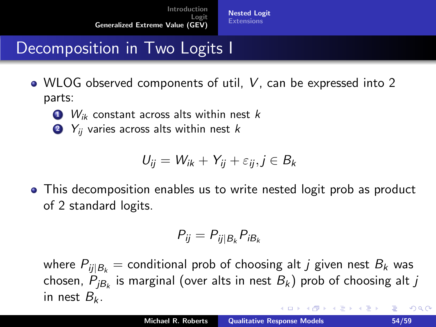# Decomposition in Two Logits I

- WLOG observed components of util, V, can be expressed into 2 parts:
	- $\bullet$   $W_{ik}$  constant across alts within nest k
	- $2$   $Y_{ii}$  varies across alts within nest k

$$
U_{ij} = W_{ik} + Y_{ij} + \varepsilon_{ij}, j \in B_k
$$

This decomposition enables us to write nested logit prob as product of 2 standard logits.

<span id="page-53-0"></span>
$$
P_{ij} = P_{ij|B_k} P_{iB_k}
$$

where  $P_{ii|B_k}$  = conditional prob of choosing alt *j* given nest  $B_k$  was chosen,  $P_{jB_{k}}$  is marginal (over alts in nest  $B_{k})$  prob of choosing alt  $j$ in nest  $B_k$ . K ロ ▶ K 御 ▶ K 君 ▶ K 君 ▶ ...  $2Q$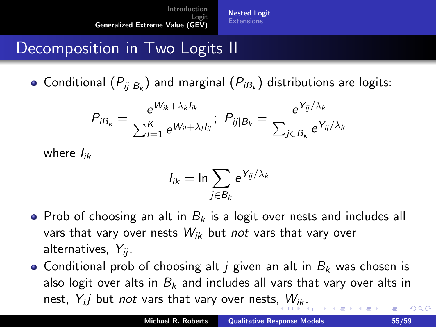[Nested Logit](#page-46-0) **[Extensions](#page-58-0)** 

# Decomposition in Two Logits II

Conditional  $(P_{ij|B_k})$  and marginal  $(P_{iB_k})$  distributions are logits:

$$
P_{iB_k} = \frac{e^{W_{ik} + \lambda_k I_{ik}}}{\sum_{l=1}^K e^{W_{il} + \lambda_l I_{il}}};\ P_{ij|B_k} = \frac{e^{Y_{ij}/\lambda_k}}{\sum_{j \in B_k} e^{Y_{ij}/\lambda_k}}
$$

where  $I_{ik}$ 

$$
I_{ik} = \ln \sum_{j \in B_k} e^{Y_{ij}/\lambda_k}
$$

- Prob of choosing an alt in  $B_k$  is a logit over nests and includes all vars that vary over nests  $W_{ik}$  but not vars that vary over alternatives,  $Y_{ii}$ .
- Conditional prob of choosing alt *i* given an alt in  $B_k$  was chosen is also logit over alts in  $B_k$  and includes all vars that vary over alts in nest,  $Y_{i}j$  but *not* vars that vary over nests,  $W_{ik}$  $W_{ik}$  $W_{ik}$  $W_{ik}$ [.](#page-53-0)  $290$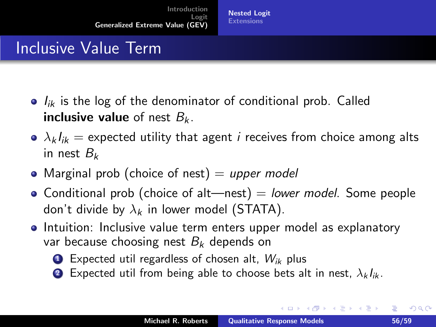# Inclusive Value Term

- $I_{ik}$  is the log of the denominator of conditional prob. Called **inclusive value** of nest  $B_k$ .
- $\Delta k I_{ik}$  = expected utility that agent *i* receives from choice among alts in nest  $B_k$
- Marginal prob (choice of nest)  $=$  upper model
- Conditional prob (choice of alt—nest)  $=$  lower model. Some people don't divide by  $\lambda_k$  in lower model (STATA).
- Intuition: Inclusive value term enters upper model as explanatory var because choosing nest  $B_k$  depends on
	- $\bullet$  Expected util regardless of chosen alt,  $W_{ik}$  plus
	- 2 Expected util from being able to choose bets alt in nest,  $\lambda_k I_{ik}$ .

<span id="page-55-0"></span> $2Q$ 

メロメ メ御き メミメ メミメー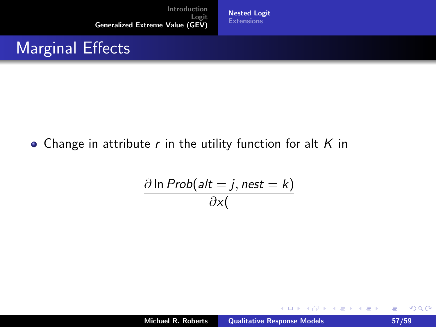[Nested Logit](#page-46-0) **[Extensions](#page-58-0)** 

#### Marginal Effects

#### • Change in attribute  $r$  in the utility function for alt  $K$  in

$$
\frac{\partial \ln Prob(alt=j, nest=k)}{\partial x(}
$$

K ロ ⊁ K 倒 ≯ K ミ ⊁ K ミ ≯

重

 $299$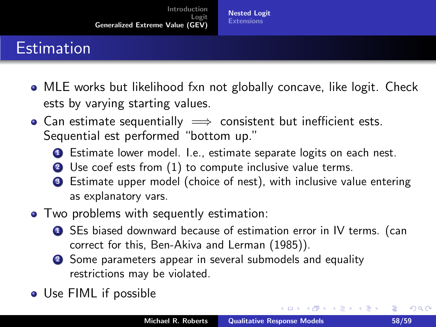# **Estimation**

- MLE works but likelihood fxn not globally concave, like logit. Check ests by varying starting values.
- Can estimate sequentially  $\implies$  consistent but inefficient ests. Sequential est performed "bottom up."
	- **1** Estimate lower model. I.e., estimate separate logits on each nest.
	- <sup>2</sup> Use coef ests from (1) to compute inclusive value terms.
	- <sup>3</sup> Estimate upper model (choice of nest), with inclusive value entering as explanatory vars.
- Two problems with sequently estimation:
	- **1** SEs biased downward because of estimation error in IV terms. (can correct for this, Ben-Akiva and Lerman (1985)).
	- 2 Some parameters appear in several submodels and equality restrictions may be violated.
- Use FIML if possible

 $2Q$ 

K ロ ⊁ K 倒 ≯ K ミ ⊁ K ミ ≯